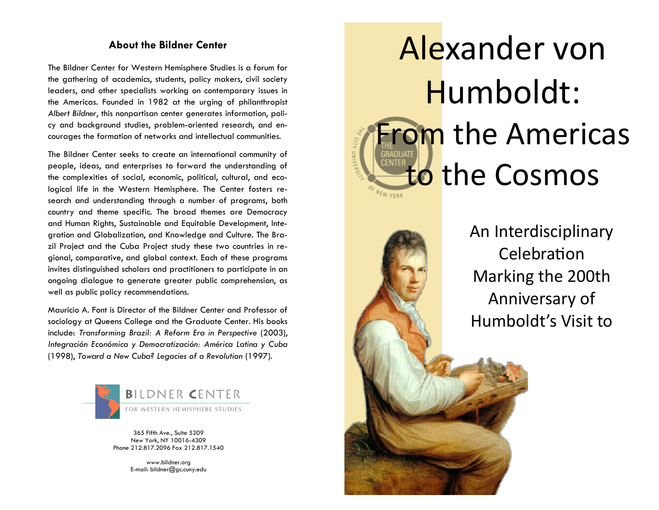## **About the Bildner Center**

The Bildner Center for Western Hemisphere Studies is a forum for the gathering of academics, students, policy makers, civil society leaders, and other specialists working on contemporary issues in the Americas. Founded in 1982 at the urging of philanthropist *Albert Bildner*, this nonpartisan center generates information, policy and background studies, problem-oriented research, and encourages the formation of networks and intellectual communities.

The Bildner Center seeks to create an international community of people, ideas, and enterprises to forward the understanding of the complexities of social, economic, political, cultural, and ecological life in the Western Hemisphere. The Center fosters research and understanding through a number of programs, both country and theme specific. The broad themes are Democracy and Human Rights, Sustainable and Equitable Development, Integration and Globalization, and Knowledge and Culture. The Brazil Project and the Cuba Project study these two countries in regional, comparative, and global context. Each of these programs invites distinguished scholars and practitioners to participate in an ongoing dialogue to generate greater public comprehension, as well as public policy recommendations.

Mauricio A. Font is Director of the Bildner Center and Professor of sociology at Queens College and the Graduate Center. His books include: *Transforming Brazil: A Reform Era in Perspective* (2003), *Integración Económica y Democratización: América Latina y Cuba*  (1998), *Toward a New Cuba? Legacies of a Revolution* (1997).



365 Fifth Ave., Suite 5209 New York, NY 10016-4309 Phone 212.817.2096 Fax 212.817.1540

> www.bildner.org E-mail: bildner@gc.cuny.edu

# Alexander von Humboldt: **From the Americas** to the CosmosNEW YORK



An Interdisciplinary **Celebration** Marking the 200th Anniversary of Humboldt's Visit to